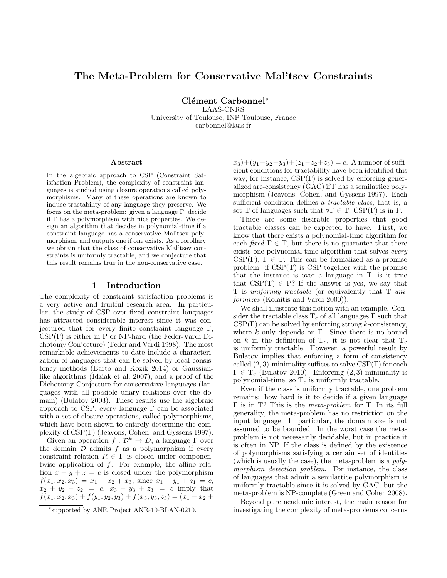# The Meta-Problem for Conservative Mal'tsev Constraints

Clément Carbonnel<sup>∗</sup> LAAS-CNRS University of Toulouse, INP Toulouse, France carbonnel@laas.fr

#### Abstract

In the algebraic approach to CSP (Constraint Satisfaction Problem), the complexity of constraint languages is studied using closure operations called polymorphisms. Many of these operations are known to induce tractability of any language they preserve. We focus on the meta-problem: given a language Γ, decide if  $\Gamma$  has a polymorphism with nice properties. We design an algorithm that decides in polynomial-time if a constraint language has a conservative Mal'tsev polymorphism, and outputs one if one exists. As a corollary we obtain that the class of conservative Mal'tsev constraints is uniformly tractable, and we conjecture that this result remains true in the non-conservative case.

## 1 Introduction

The complexity of constraint satisfaction problems is a very active and fruitful research area. In particular, the study of CSP over fixed constraint languages has attracted considerable interest since it was conjectured that for every finite constraint language  $\Gamma$ , CSP(Γ) is either in P or NP-hard (the Feder-Vardi Dichotomy Conjecture) (Feder and Vardi 1998). The most remarkable achievements to date include a characterization of languages that can be solved by local consistency methods (Barto and Kozik 2014) or Gaussianlike algorithms (Idziak et al. 2007), and a proof of the Dichotomy Conjecture for conservative languages (languages with all possible unary relations over the domain) (Bulatov 2003). These results use the algebraic approach to CSP: every language  $\Gamma$  can be associated with a set of closure operations, called polymorphisms, which have been shown to entirely determine the complexity of CSP(Γ) (Jeavons, Cohen, and Gyssens 1997).

Given an operation  $f: \mathcal{D}^k \to D$ , a language  $\Gamma$  over the domain  $\mathcal D$  admits  $f$  as a polymorphism if every constraint relation  $R \in \Gamma$  is closed under componentwise application of  $f$ . For example, the affine relation  $x + y + z = c$  is closed under the polymorphism  $f(x_1, x_2, x_3) = x_1 - x_2 + x_3$ , since  $x_1 + y_1 + z_1 = c$ ,  $x_2 + y_2 + z_2 = c$ ,  $x_3 + y_3 + z_3 = c$  imply that  $f(x_1, x_2, x_3) + f(y_1, y_2, y_3) + f(x_3, y_3, z_3) = (x_1 - x_2 +$ 

∗ supported by ANR Project ANR-10-BLAN-0210.

 $x_3+(y_1-y_2+y_3)+(z_1-z_2+z_3)=c$ . A number of sufficient conditions for tractability have been identified this way; for instance,  $CSP(\Gamma)$  is solved by enforcing generalized arc-consistency  $(GAC)$  if  $\Gamma$  has a semilattice polymorphism (Jeavons, Cohen, and Gyssens 1997). Each sufficient condition defines a tractable class, that is, a set T of languages such that  $\forall \Gamma \in T$ ,  $CSP(\Gamma)$  is in P.

There are some desirable properties that good tractable classes can be expected to have. First, we know that there exists a polynomial-time algorithm for each fixed  $\Gamma \in \mathcal{T}$ , but there is no guarantee that there exists one polynomial-time algorithm that solves *every* CSP(Γ),  $\Gamma \in \mathcal{T}$ . This can be formalized as a promise problem: if CSP(T) is CSP together with the promise that the instance is over a language in T, is it true that  $CSP(T) \in P$ ? If the answer is yes, we say that T is uniformly tractable (or equivalently that T uniformizes (Kolaitis and Vardi 2000)).

We shall illustrate this notion with an example. Consider the tractable class  $T_c$  of all languages  $\Gamma$  such that  $CSP(\Gamma)$  can be solved by enforcing strong k-consistency, where  $k$  only depends on  $\Gamma$ . Since there is no bound on k in the definition of  $T_c$ , it is not clear that  $T_c$ is uniformly tractable. However, a powerful result by Bulatov implies that enforcing a form of consistency called  $(2, 3)$ -minimality suffices to solve  $CSP(\Gamma)$  for each  $\Gamma \in \mathrm{T}_{c}$  (Bulatov 2010). Enforcing  $(2, 3)$ -minimality is polynomial-time, so  $T_c$  is uniformly tractable.

Even if the class is uniformly tractable, one problem remains: how hard is it to decide if a given language Γ is in T? This is the meta-problem for T. In its full generality, the meta-problem has no restriction on the input language. In particular, the domain size is not assumed to be bounded. In the worst case the metaproblem is not necessarily decidable, but in practice it is often in NP. If the class is defined by the existence of polymorphisms satisfying a certain set of identities (which is usually the case), the meta-problem is a *poly*morphism detection problem. For instance, the class of languages that admit a semilattice polymorphism is uniformly tractable since it is solved by GAC, but the meta-problem is NP-complete (Green and Cohen 2008).

Beyond pure academic interest, the main reason for investigating the complexity of meta-problems concerns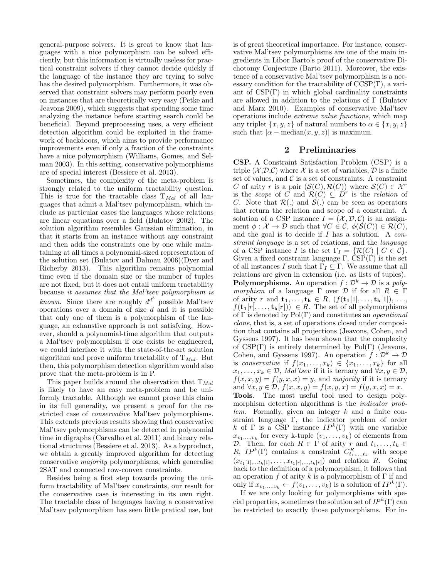general-purpose solvers. It is great to know that languages with a nice polymorphism can be solved efficiently, but this information is virtually useless for practical constraint solvers if they cannot decide quickly if the language of the instance they are trying to solve has the desired polymorphism. Furthermore, it was observed that constraint solvers may perform poorly even on instances that are theoretically very easy (Petke and Jeavons 2009), which suggests that spending some time analyzing the instance before starting search could be beneficial. Beyond preprocessing uses, a very efficient detection algorithm could be exploited in the framework of backdoors, which aims to provide performance improvements even if only a fraction of the constraints have a nice polymorphism (Williams, Gomes, and Selman 2003). In this setting, conservative polymorphisms are of special interest (Bessiere et al. 2013).

Sometimes, the complexity of the meta-problem is strongly related to the uniform tractability question. This is true for the tractable class  $T_{Mal}$  of all languages that admit a Mal'tsev polymorphism, which include as particular cases the languages whose relations are linear equations over a field (Bulatov 2002). The solution algorithm resembles Gaussian elimination, in that it starts from an instance without any constraint and then adds the constraints one by one while maintaining at all times a polynomial-sized representation of the solution set (Bulatov and Dalmau 2006)(Dyer and Richerby 2013). This algorithm remains polynomial time even if the domain size or the number of tuples are not fixed, but it does not entail uniform tractability because it assumes that the Mal'tsev polymorphism is *known*. Since there are roughly  $d^{d^3}$  possible Mal'tsev operations over a domain of size d and it is possible that only one of them is a polymorphism of the language, an exhaustive approach is not satisfying. However, should a polynomial-time algorithm that outputs a Mal'tsev polymorphism if one exists be engineered, we could interface it with the state-of-the-art solution algorithm and prove uniform tractability of  $T_{Mal}$ . But then, this polymorphism detection algorithm would also prove that the meta-problem is in P.

This paper builds around the observation that  $T_{Mal}$ is likely to have an easy meta-problem and be uniformly tractable. Although we cannot prove this claim in its full generality, we present a proof for the restricted case of conservative Mal'tsev polymorphisms. This extends previous results showing that conservative Mal'tsev polymorphisms can be detected in polynomial time in digraphs (Carvalho et al. 2011) and binary relational structures (Bessiere et al. 2013). As a byproduct, we obtain a greatly improved algorithm for detecting conservative majority polymorphisms, which generalise 2SAT and connected row-convex constraints.

Besides being a first step towards proving the uniform tractability of Mal'tsev constraints, our result for the conservative case is interesting in its own right. The tractable class of languages having a conservative Mal'tsev polymorphism has seen little pratical use, but

is of great theoretical importance. For instance, conservative Mal'tsev polymorphisms are one of the main ingredients in Libor Barto's proof of the conservative Dichotomy Conjecture (Barto 2011). Moreover, the existence of a conservative Mal'tsev polymorphism is a necessary condition for the tractability of  $CCSP(\Gamma)$ , a variant of  $CSP(\Gamma)$  in which global cardinality constraints are allowed in addition to the relations of Γ (Bulatov and Marx 2010). Examples of conservative Mal'tsev operations include extreme value functions, which map any triplet  $\{x, y, z\}$  of natural numbers to  $\alpha \in \{x, y, z\}$ such that  $|\alpha - \text{median}(x, y, z)|$  is maximum.

## 2 Preliminaries

CSP. A Constraint Satisfaction Problem (CSP) is a triple  $(X, \mathcal{D}, \mathcal{C})$  where X is a set of variables,  $\mathcal D$  is a finite set of values, and  $\mathcal C$  is a set of constraints. A constraint C of arity r is a pair  $(\mathcal{S}(C), \mathcal{R}(C))$  where  $\mathcal{S}(C) \in \mathcal{X}^r$ is the *scope* of C and  $\mathcal{R}(C) \subseteq D^r$  is the *relation* of C. Note that  $\mathcal{R}(.)$  and  $\mathcal{S}(.)$  can be seen as operators that return the relation and scope of a constraint. A solution of a CSP instance  $I = (\mathcal{X}, \mathcal{D}, \mathcal{C})$  is an assignment  $\phi : \mathcal{X} \to \mathcal{D}$  such that  $\forall C \in \mathcal{C}, \phi(\mathcal{S}(C)) \in \mathcal{R}(C),$ and the goal is to decide if  $I$  has a solution. A *con*straint language is a set of relations, and the language of a CSP instance I is the set  $\Gamma_I = \{ \mathcal{R}(C) \mid C \in \mathcal{C} \}.$ Given a fixed constraint language  $\Gamma$ , CSP(Γ) is the set of all instances  $I$  such that  $\Gamma_I \subseteq \Gamma.$  We assume that all relations are given in extension (i.e. as lists of tuples). **Polymorphisms.** An operation  $f : \mathcal{D}^k \to \mathcal{D}$  is a polymorphism of a language  $\Gamma$  over  $\mathcal D$  if for all  $R \in \Gamma$ of arity r and  $\mathbf{t_1}, \ldots, \mathbf{t_k} \in R$ ,  $(f(\mathbf{t_1}[1], \ldots, \mathbf{t_k}[1]), \ldots,$  $f(\mathbf{t_1}[r], \ldots, \mathbf{t_k}[r]) \in R$ . The set of all polymorphisms of  $\Gamma$  is denoted by  $Pol(\Gamma)$  and constitutes an *operational* clone, that is, a set of operations closed under composition that contains all projections (Jeavons, Cohen, and Gyssens 1997). It has been shown that the complexity of  $CSP(\Gamma)$  is entirely determined by  $Pol(\Gamma)$  (Jeavons, Cohen, and Gyssens 1997). An operation  $f: \mathcal{D}^k \to \mathcal{D}$ is conservative if  $f(x_1, \ldots, x_k) \in \{x_1, \ldots, x_k\}$  for all  $x_1, \ldots, x_k \in \mathcal{D}$ , Mal'tsev if it is ternary and  $\forall x, y \in \mathcal{D}$ ,  $f(x, x, y) = f(y, x, x) = y$ , and majority if it is ternary and  $\forall x, y \in \mathcal{D}, f(x, x, y) = f(x, y, x) = f(y, x, x) = x$ .

Tools. The most useful tool used to design polymorphism detection algorithms is the *indicator prob* $lem.$  Formally, given an integer  $k$  and a finite constraint language Γ, the indicator problem of order k of  $\Gamma$  is a CSP instance  $IP^k(\Gamma)$  with one variable  $x_{v_1,\ldots,v_k}$  for every k-tuple  $(v_1,\ldots,v_k)$  of elements from D. Then, for each  $R \in \Gamma$  of arity r and  $t_1, \ldots, t_k \in$ R,  $IP^k(\Gamma)$  contains a constraint  $C_{t_1,\ldots,t_k}^R$  with scope  $(x_{t_1[1],...t_k[1]},...,x_{t_1[r],...,t_k[r]})$  and relation R. Going back to the definition of a polymorphism, it follows that an operation f of arity k is a polymorphism of  $\Gamma$  if and only if  $x_{v_1,...,v_k} \leftarrow f(v_1,...,v_k)$  is a solution of  $IP^k(\Gamma)$ .

If we are only looking for polymorphisms with special properties, sometimes the solution set of  $IP^k(\Gamma)$  can be restricted to exactly those polymorphisms. For in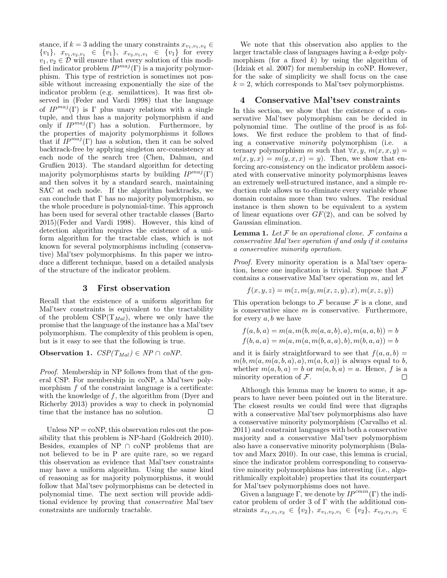stance, if  $k = 3$  adding the unary constraints  $x_{v_1,v_1,v_2} \in$  ${v_1}, x_{v_1,v_2,v_1} \in {v_1}, x_{v_2,v_1,v_1} \in {v_1}$  for every  $v_1, v_2 \in \mathcal{D}$  will ensure that every solution of this modified indicator problem  $IP^{maj}(\Gamma)$  is a majority polymorphism. This type of restriction is sometimes not possible without increasing exponentially the size of the indicator problem (e.g. semilattices). It was first observed in (Feder and Vardi 1998) that the language of  $IP^{maj}(\Gamma)$  is  $\Gamma$  plus unary relations with a single tuple, and thus has a majority polymorphism if and only if  $IP^{maj}(\Gamma)$  has a solution. Furthermore, by the properties of majority polymorphisms it follows that if  $IP^{maj}(\Gamma)$  has a solution, then it can be solved backtrack-free by applying singleton arc-consistency at each node of the search tree (Chen, Dalmau, and Grußien 2013). The standard algorithm for detecting majority polymorphisms starts by building  $IP^{maj}(\Gamma)$ and then solves it by a standard search, maintaining SAC at each node. If the algorithm backtracks, we can conclude that  $\Gamma$  has no majority polymorphism, so the whole procedure is polynomial-time. This approach has been used for several other tractable classes (Barto 2015)(Feder and Vardi 1998). However, this kind of detection algorithm requires the existence of a uniform algorithm for the tractable class, which is not known for several polymorphisms including (conservative) Mal'tsev polymorphisms. In this paper we introduce a different technique, based on a detailed analysis of the structure of the indicator problem.

### 3 First observation

Recall that the existence of a uniform algorithm for Mal'tsev constraints is equivalent to the tractability of the problem  $CSP(T_{Mal})$ , where we only have the promise that the language of the instance has a Mal'tsev polymorphism. The complexity of this problem is open, but is it easy to see that the following is true.

Observation 1.  $CSP(T_{Mal}) \in NP \cap coNP$ .

Proof. Membership in NP follows from that of the general CSP. For membership in coNP, a Mal'tsev polymorphism  $f$  of the constraint language is a certificate: with the knowledge of  $f$ , the algorithm from (Dyer and Richerby 2013) provides a way to check in polynomial time that the instance has no solution.  $\Box$ 

Unless  $NP = \text{coNP}$ , this observation rules out the possibility that this problem is NP-hard (Goldreich 2010). Besides, examples of NP  $\cap$  coNP problems that are not believed to be in P are quite rare, so we regard this observation as evidence that Mal'tsev constraints may have a uniform algorithm. Using the same kind of reasoning as for majority polymorphisms, it would follow that Mal'tsev polymorphisms can be detected in polynomial time. The next section will provide additional evidence by proving that conservative Mal'tsev constraints are uniformly tractable.

We note that this observation also applies to the larger tractable class of languages having a k-edge polymorphism (for a fixed  $k$ ) by using the algorithm of (Idziak et al. 2007) for membership in coNP. However, for the sake of simplicity we shall focus on the case  $k = 2$ , which corresponds to Mal'tsev polymorphisms.

## 4 Conservative Mal'tsev constraints

In this section, we show that the existence of a conservative Mal'tsev polymorphism can be decided in polynomial time. The outline of the proof is as follows. We first reduce the problem to that of finding a conservative minority polymorphism (i.e. a ternary polymorphism m such that  $\forall x, y, m(x, x, y) =$  $m(x, y, x) = m(y, x, x) = y$ . Then, we show that enforcing arc-consistency on the indicator problem associated with conservative minority polymorphisms leaves an extremely well-structured instance, and a simple reduction rule allows us to eliminate every variable whose domain contains more than two values. The residual instance is then shown to be equivalent to a system of linear equations over  $GF(2)$ , and can be solved by Gaussian elimination.

**Lemma 1.** Let  $\mathcal F$  be an operational clone.  $\mathcal F$  contains a conservative Mal'tsev operation if and only if it contains a conservative minority operation.

Proof. Every minority operation is a Mal'tsev operation, hence one implication is trivial. Suppose that  $\mathcal F$ contains a conservative Mal'tsev operation m, and let

$$
f(x, y, z) = m(z, m(y, m(x, z, y), x), m(x, z, y))
$$

This operation belongs to  $\mathcal F$  because  $\mathcal F$  is a clone, and is conservative since  $m$  is conservative. Furthermore, for every  $a, b$  we have

$$
f(a, b, a) = m(a, m(b, m(a, a, b), a), m(a, a, b)) = b
$$
  

$$
f(b, a, a) = m(a, m(a, m(b, a, a), b), m(b, a, a)) = b
$$

and it is fairly straightforward to see that  $f(a, a, b) =$  $m(b, m(a, m(a, b, a), a), m(a, b, a))$  is always equal to b, whether  $m(a, b, a) = b$  or  $m(a, b, a) = a$ . Hence, f is a minority operation of  $\mathcal{F}$ .  $\Box$ 

Although this lemma may be known to some, it appears to have never been pointed out in the literature. The closest results we could find were that digraphs with a conservative Mal'tsev polymorphisms also have a conservative minority polymorphism (Carvalho et al. 2011) and constraint languages with both a conservative majority and a conservative Mal'tsev polymorphism also have a conservative minority polymorphism (Bulatov and Marx 2010). In our case, this lemma is crucial, since the indicator problem corresponding to conservative minority polymorphisms has interesting (i.e., algorithmically exploitable) properties that its counterpart for Mal'tsev polymorphisms does not have.

Given a language  $\Gamma$ , we denote by  $IP^{cmin}(\Gamma)$  the indicator problem of order 3 of Γ with the additional constraints  $x_{v_1,v_1,v_2} \in \{v_2\}, x_{v_1,v_2,v_1} \in \{v_2\}, x_{v_2,v_1,v_1} \in$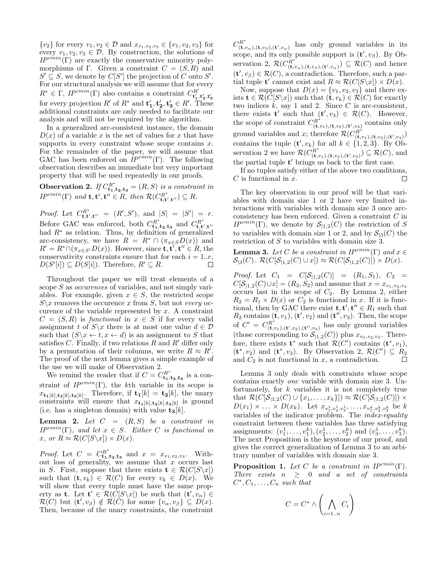${v_2}$  for every  $v_1, v_2 \in \mathcal{D}$  and  $x_{v_1, v_2, v_3} \in {v_1, v_2, v_3}$  for every  $v_1, v_2, v_3 \in \mathcal{D}$ . By construction, the solutions of  $IP^{cmin}(\Gamma)$  are exactly the conservative minority polymorphisms of Γ. Given a constraint  $C = (S, R)$  and  $S' \subseteq S$ , we denote by  $C[S']$  the projection of C onto S'. For our structural analysis we will assume that for every  $R^* \in \Gamma$ ,  $IP^{cmin}(\Gamma)$  also contains a constraint  $C_{\mathbf{t}'}^{R'}$  $h \in I$ ,  $H$  (1) also contains a constraint  $C_{t_1, t_2, t_3}$ <br>for every projection  $R'$  of  $R^*$  and  $t_1', t_2', t_3' \in R'$ . These additional constraints are only needed to facilitate our analysis and will not be required by the algorithm.

In a generalized arc-consistent instance, the domain  $D(x)$  of a variable x is the set of values for x that have supports in every constraint whose scope contains  $x$ . For the remainder of the paper, we will assume that GAC has been enforced on  $IP^{cmin}(\Gamma)$ . The following observation describes an immediate but very important property that will be used repeatedly in our proofs.

**Observation 2.** If  $C_{\mathbf{t_1},\mathbf{t_2},\mathbf{t_3}}^{R^*} = (R,S)$  is a constraint in  $IP^{cmin}(\Gamma)$  and  $\mathbf{t}, \mathbf{t}', \mathbf{t}'' \in R$ , then  $\mathcal{R}(C_{\mathbf{t}, \mathbf{t}', \mathbf{t}''}^{R^*}) \subseteq R$ .

*Proof.* Let  $C_{\mathbf{t},\mathbf{t}',\mathbf{t}''}^{R^*} = (R',S')$ , and  $|S| = |S'| = r$ . Before GAC was enforced, both  $C_{\mathbf{t}_1,\mathbf{t}_2,\mathbf{t}_3}^{R^*}$  and  $C_{\mathbf{t},\mathbf{t}',\mathbf{t}''}^{R^*}$ had  $R^*$  as relation. Thus, by definition of generalized arc-consistency, we have  $R = R^* \cap (\pi_{x \in S}D(x))$  and  $R' = R^* \cap (\pi_{x \in S'} D(x))$ . However, since  $\mathbf{t}, \mathbf{t}', \mathbf{t}'' \in R$ , the conservativity constraints ensure that for each  $i = 1..r$ ,  $D(S'[i]) \subseteq D(S[i])$ . Therefore,  $R' \subseteq R$ . П

Throughout the paper we will treat elements of a scope S as *occurences* of variables, and not simply variables. For example, given  $x \in S$ , the restricted scope  $S\$  removes the occurence x from S, but not every occurence of the variable represented by  $x$ . A constraint  $C = (S, R)$  is functional in  $x \in S$  if for every valid assignment t of  $S\$ x there is at most one value  $d \in \mathcal{D}$ such that  $(S \backslash x \leftarrow t, x \leftarrow d)$  is an assignment to S that satisfies C. Finally, if two relations R and R' differ only by a permutation of their columns, we write  $R \approx R'$ . The proof of the next lemma gives a simple example of the use we will make of Observation 2.

We remind the reader that if  $C = C_{\mathbf{t}_1, \mathbf{t}_2, \mathbf{t}_3}^{R^*}$  is a constraint of  $IP^{cmin}(\Gamma)$ , the kth variable in its scope is  $x_{\mathbf{t}_1[k], \mathbf{t}_2[k], \mathbf{t}_3[k]}$ . Therefore, if  $\mathbf{t}_1[k] = \mathbf{t}_2[k]$ , the unary constraints will ensure that  $x_{t_1[k],t_2[k],t_3[k]}$  is ground (i.e. has a singleton domain) with value  $\mathbf{t}_3[k]$ .

**Lemma 2.** Let  $C = (R, S)$  be a constraint in  $IP^{cmin}(\Gamma)$ , and let  $x \in S$ . Either C is functional in x, or  $R \approx \mathcal{R}(C[S\setminus x]) \times D(x)$ .

*Proof.* Let  $C = C_{\mathbf{t}_1, \mathbf{t}_2, \mathbf{t}_3}^{R^*}$  and  $x = x_{v_1, v_2, v_3}$ . Without loss of generality, we assume that  $x$  occurs last in S. First, suppose that there exists  $\mathbf{t} \in \mathcal{R}(C[S\setminus x])$ such that  $(\mathbf{t}, v_k) \in \mathcal{R}(C)$  for every  $v_k \in D(x)$ . We will show that every tuple must have the same property as **t**. Let  $\mathbf{t}' \in \mathcal{R}(C[S\setminus x])$  be such that  $(\mathbf{t}', v_{\alpha}) \in$  $\mathcal{R}(C)$  but  $(\mathbf{t}', v_{\beta}) \notin \mathcal{R}(C)$  for some  $\{v_{\alpha}, v_{\beta}\} \subseteq D(x)$ . Then, because of the unary constraints, the constraint

 $C_{(1)}^{R^*}$  ${}_{(\mathbf{t},v_\alpha),(\mathbf{t},v_\beta),(\mathbf{t}',v_\alpha)}^{R^*}$  has only ground variables in its scope, and its only possible support is  $(\mathbf{t}', v_\beta)$ . By Observation 2,  $\mathcal{R}(C_{(1)}^{R^*})$  $(\mathbf{t},v_\alpha),(\mathbf{t},v_\beta),(\mathbf{t'},v_\alpha)) \subseteq \mathcal{R}(C)$  and hence  $(\mathbf{t}', v_{\beta}) \in \mathcal{R}(C)$ , a contradiction. Therefore, such a partial tuple **t**' cannot exist and  $R \approx \mathcal{R}(C[S \setminus x]) \times D(x)$ .

Now, suppose that  $D(x) = \{v_1, v_2, v_3\}$  and there exists  $\mathbf{t} \in \mathcal{R}(C[S \setminus x])$  such that  $(\mathbf{t}, v_k) \in \mathcal{R}(C)$  for exactly two indices  $k$ , say 1 and 2. Since C is arc-consistent, there exists **t**' such that  $(\mathbf{t}', v_3) \in \mathcal{R}(C)$ . However, the scope of constraint  $C_{(1)}^{R^*}$  ${}_{(t,v_1),(t,v_2),(t',v_3)}^{(R^*)}$  contains only ground variables and x; therefore  $\mathcal{R}(C_{(\mathbf{t},v_1),(\mathbf{t},v_2),(\mathbf{t}',v_3)}^{R^*})$ contains the tuple  $(\mathbf{t}', v_k)$  for all  $k \in \{1, 2, 3\}$ . By Observation 2 we have  $\mathcal{R}(C_{(1)}^{R^*})$  $\mathcal{R}^{\kappa}(\mathbf{t},v_1),(\mathbf{t},v_2),(\mathbf{t'},v_3)) \subseteq \mathcal{R}(C)$ , and the partial tuple  $t'$  brings us back to the first case.

If no tuples satisfy either of the above two conditions,  $C$  is functional in  $x$ .  $\Box$ 

The key observation in our proof will be that variables with domain size 1 or 2 have very limited interactions with variables with domain size 3 once arcconsistency has been enforced. Given a constraint  $C$  in  $IP^{cmin}(\Gamma)$ , we denote by  $\mathcal{S}_{1,2}(C)$  the restriction of S to variables with domain size 1 or 2, and by  $S_{3}(C)$  the restriction of  $S$  to variables with domain size  $3$ .

**Lemma 3.** Let C be a constraint in  $IP^{cmin}(\Gamma)$  and  $x \in$  $\mathcal{S}_{3}(C)$ .  $\mathcal{R}(C[\mathcal{S}_{1,2}(C) \cup x]) \approx \mathcal{R}(C[\mathcal{S}_{1,2}(C)]) \times D(x)$ .

*Proof.* Let  $C_1 = C[\mathcal{S}_{1,2}(C)] = (R_1, S_1), C_2 =$  $C[\mathcal{S}_{1,2}(C)\cup x] = (R_2, S_2)$  and assume that  $x = x_{v_1,v_2,v_3}$ occurs last in the scope of  $C_2$ . By Lemma 2, either  $R_2 = R_1 \times D(x)$  or  $C_2$  is functional in x. If it is functional, then by GAC there exist  $\mathbf{t}, \mathbf{t}', \mathbf{t}'' \in R_1$  such that  $R_2$  contains  $(\mathbf{t}, v_1), (\mathbf{t}', v_2)$  and  $(\mathbf{t}'', v_3)$ . Then, the scope of  $C' = C_{(1)}^{R^*}$  ${}_{(\mathbf{t},v_1),(\mathbf{t}',v_2),(\mathbf{t}'',v_3)}^{(\mathcal{H}')}$  has only ground variables (those corresponding to  $S_{[1,2}(C))$  plus  $x_{v_1,v_2,v_3}$ . Therefore, there exists  $\mathbf{t}^*$  such that  $\mathcal{R}(C')$  contains  $(\mathbf{t}^*, v_1)$ ,  $(\mathbf{t}^*, v_2)$  and  $(\mathbf{t}^*, v_3)$ . By Observation 2,  $\mathcal{R}(C') \subseteq R_2$ and  $C_2$  is not functional in x, a contradiction.  $\Box$ 

Lemma 3 only deals with constraints whose scope contains exactly one variable with domain size 3. Unfortunately, for  $k$  variables it is not completely true that  $\mathcal{R}(C[\mathcal{S}_{1,2}(C) \cup \{x_1,\ldots,x_k\}]) \approx \mathcal{R}(C[\mathcal{S}_{1,2}(C)]) \times$  $D(x_1) \times \ldots \times D(x_k)$ . Let  $x_{v_1^1, v_2^1, v_3^1}, \ldots, x_{v_1^k, v_2^k, v_3^k}$  be k variables of the indicator problem. The *index-equality* constraint between these variables has three satisfying assignments:  $(v_1^1, \ldots, v_1^k), (v_2^1, \ldots, v_2^k)$  and  $(v_3^1, \ldots, v_3^k)$ . The next Proposition is the keystone of our proof, and gives the correct generalization of Lemma 3 to an arbitrary number of variables with domain size 3.

**Proposition 1.** Let C be a constraint in  $IP^{cmin}(\Gamma)$ . There exists  $n \geq 0$  and a set of constraints  $C^*, C_1, \ldots, C_n$  such that

$$
C = C^* \wedge \left(\bigwedge_{i=1..n} C_i\right)
$$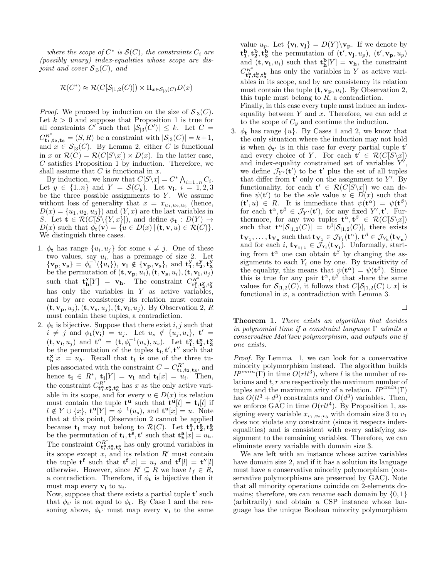where the scope of  $C^*$  is  $\mathcal{S}(C)$ , the constraints  $C_i$  are (possibly unary) index-equalities whose scope are disjoint and cover  $S_{3}(C)$ , and

$$
\mathcal{R}(C^*) \approx \mathcal{R}(C[\mathcal{S}_{1,2}(C)]) \times \Pi_{x \in \mathcal{S}_{3}(C)} D(x)
$$

*Proof.* We proceed by induction on the size of  $S_{3}(C)$ . Let  $k > 0$  and suppose that Proposition 1 is true for all constraints C' such that  $|\mathcal{S}_{3}(C')| \leq k$ . Let  $C =$  $C_{\mathbf{t_1}, \mathbf{t_2}, \mathbf{t_3}}^{R^*} = (S, R)$  be a constraint with  $|S_{|3}(C)| = k + 1$ , and  $x \in S_{3}(C)$ . By Lemma 2, either C is functional in x or  $\mathcal{R}(C) = \mathcal{R}(C|S\backslash x]) \times D(x)$ . In the latter case, C satisfies Proposition 1 by induction. Therefore, we shall assume that  $C$  is functional in  $x$ .

By induction, we know that  $C[S \setminus x] = C^* \bigwedge_{i=1..n} C_i$ . Let  $y \in \{1..n\}$  and  $Y = \mathcal{S}(C_y)$ . Let  $\mathbf{v_i}$ ,  $i = 1, 2, 3$ be the three possible assignments to  $Y$ . We assume without loss of generality that  $x = x_{u_1, u_2, u_3}$  (hence,  $D(x) = {u_1, u_2, u_3}$  and  $(Y, x)$  are the last variables in S. Let  $\mathbf{t} \in \mathcal{R}(C[S\setminus\{Y,x\}]),$  and define  $\phi_{\mathbf{t}}: D(Y) \to$  $D(x)$  such that  $\phi_{\mathbf{t}}(\mathbf{v}) = \{u \in D(x) | (\mathbf{t}, \mathbf{v}, u) \in \mathcal{R}(C) \}.$ We distinguish three cases.

- 1.  $\phi_t$  has range  $\{u_i, u_j\}$  for some  $i \neq j$ . One of these two values, say  $u_i$ , has a preimage of size 2. Let  $\{ \mathbf{v_p}, \mathbf{v_s} \} = \phi_{\mathbf{t}}^{-1}(\{u_i\}), \mathbf{v_l} \notin \{ \mathbf{v_p}, \mathbf{v_s} \}, \text{ and } \mathbf{t_1^y}, \mathbf{t_2^y}, \mathbf{t_3^y}$  be the permutation of  $(\mathbf{t}, \mathbf{v_p}, u_i), (\mathbf{t}, \mathbf{v_s}, u_i), (\mathbf{t}, \mathbf{v_l}, u_j)$ such that  $\mathbf{t}_{\mathbf{h}}^{\mathbf{y}}[Y] = \mathbf{v}_{\mathbf{h}}$ . The constraint  $C_{\mathbf{t}_{\mathbf{y}}^{\mathbf{y}}}^{R^*}$  $\tilde{\mathbf{t}}_1^\mathbf{y}, \mathbf{t}_2^\mathbf{y}, \mathbf{t}_3^\mathbf{y}$ has only the variables in  $Y$  as active variables, and by arc consistency its relation must contain  $(\mathbf{t}, \mathbf{v_p}, u_j), (\mathbf{t}, \mathbf{v_s}, u_j), (\mathbf{t}, \mathbf{v_l}, u_j)$ . By Observation 2, R must contain these tuples, a contradiction.
- 2.  $\phi_t$  is bijective. Suppose that there exist i, j such that  $i \neq j$  and  $\phi_{\mathbf{t}}(\mathbf{v_i}) = u_j$ . Let  $u_s \notin \{u_j, u_i\}, \mathbf{t}' =$  $(\mathbf{t}, \mathbf{v_i}, u_j)$  and  $\mathbf{t}'' = (\mathbf{t}, \phi_{\mathbf{t}}^{-1}(u_s), u_s)$ . Let  $\mathbf{t}_1^{\mathbf{x}}, \mathbf{t}_2^{\mathbf{x}}, \mathbf{t}_3^{\mathbf{x}}$ be the permutation of the tuples  $t_i, t', t''$  such that  $\mathbf{t}_{\mathbf{h}}^{\mathbf{x}}[x] = u_h$ . Recall that  $\mathbf{t}_{\mathbf{i}}$  is one of the three tuples associated with the constraint  $C = C_{\mathbf{t}_1, \mathbf{t}_2, \mathbf{t}_3}^{R^*}$ , and hence  $\mathbf{t_i} \in R^*$ ,  $\mathbf{t_i}[Y] = \mathbf{v_i}$  and  $\mathbf{t_i}[x] = \overline{u_i}$ . Then, the constraint  $C_{\mathbf{t}_{1}^{x}, \mathbf{t}_{2}^{x}, \mathbf{t}_{3}^{x}}^{R^{*}}$  has x as the only active variable in its scope, and for every  $u \in D(x)$  its relation must contain the tuple  $\mathbf{t}^{\mathbf{u}}$  such that  $\mathbf{t}^{\mathbf{u}}[l] = \mathbf{t}_{i}[l]$  if  $l \notin Y \cup \{x\}, \mathbf{t}^{\mathbf{u}}[Y] = \phi^{-1}(u_s)$ , and  $\mathbf{t}^{\mathbf{u}}[x] = u$ . Note that at this point, Observation 2 cannot be applied because  $\mathbf{t_i}$  may not belong to  $\mathcal{R}(C)$ . Let  $\mathbf{t_i^a}, \mathbf{t_2^a}, \mathbf{t_3^a}$ <br>be the permutation of  $\mathbf{t_i}, \mathbf{t^s}, \mathbf{t'}$  such that  $\mathbf{t_i^a}[x] = u_h$ . The constraint  $C_{\mathbf{t}_1^a, \mathbf{t}_2^a, \mathbf{t}_3^a}^{R^*}$  has only ground variables in its scope except  $x$ , and its relation  $R'$  must contain the tuple  $\mathbf{t}^{\mathbf{f}}$  such that  $\mathbf{t}^{\mathbf{f}}[x] = u_j$  and  $\mathbf{t}^{\mathbf{f}}[l] = \mathbf{t}''[l]$ otherwise. However, since  $R' \subseteq R$  we have  $t_f \in R$ , a contradiction. Therefore, if  $\phi_t$  is bijective then it must map every  $\mathbf{v}_i$  to  $u_i$ .

Now, suppose that there exists a partial tuple  $t'$  such that  $\phi_{\mathbf{t}'}$  is not equal to  $\phi_{\mathbf{t}}$ . By Case 1 and the reasoning above,  $\phi_{\mathbf{t}}$  must map every  $\mathbf{v}_{\mathbf{i}}$  to the same

value  $u_p$ . Let  $\{v_i, v_j\} = D(Y) \setminus v_p$ . If we denote by  $\mathbf{t_1^b}, \mathbf{t_2^b}, \mathbf{t_3^b}$  the permutation of  $(\mathbf{t}', \mathbf{v_j}, u_p), (\mathbf{t}', \mathbf{v_p}, u_p)$ and  $(\mathbf{t}, \mathbf{v_i}, u_i)$  such that  $\mathbf{t_h^b}[Y] = \mathbf{v_h}$ , the constraint  $C_{\text{+b}}^{R^*}$  $\mathcal{H}^{\mathcal{R}^*}_{\mathbf{t}_1}$ ,  $\mathbf{t}_2^{\mathbf{b}}, \mathbf{t}_3^{\mathbf{b}}$  has only the variables in Y as active variables in its scope, and by arc consistency its relation must contain the tuple  $(\mathbf{t}, \mathbf{v_p}, u_i)$ . By Observation 2, this tuple must belong to  $R$ , a contradiction. Finally, in this case every tuple must induce an index-

equality between  $Y$  and  $x$ . Therefore, we can add  $x$ to the scope of  $C_y$  and continue the induction.

3.  $\phi_t$  has range  $\{u\}$ . By Cases 1 and 2, we know that the only situation where the induction may not hold is when  $\phi_{\mathbf{t}'}$  is in this case for every partial tuple  $\mathbf{t}'$ and every choice of Y. For each  $\mathbf{t}^{\prime} \in \mathcal{R}(C[S\setminus x])$ and index-equality constrained set of variables  $Y'$ , we define  $\mathcal{J}_{Y'}(\mathbf{t}')$  to be  $\mathbf{t}'$  plus the set of all tuples that differ from  $t'$  only on the assignment to Y'. By functionality, for each  $\mathbf{t}' \in \mathcal{R}(C[S\setminus x])$  we can define  $\psi(\mathbf{t}')$  to be the sole value  $u \in D(x)$  such that  $(\mathbf{t}', u) \in R$ . It is immediate that  $\psi(\mathbf{t}^{\alpha}) = \psi(\mathbf{t}^{\beta})$ for each  $\mathbf{t}^{\alpha}, \mathbf{t}^{\beta} \in \mathcal{J}_{Y'}(\mathbf{t}'),$  for any fixed  $Y', \mathbf{t}'.$  Furthermore, for any two tuples  $\mathbf{t}^{\alpha}, \mathbf{t}^{\beta} \in \mathcal{R}(C[S\setminus x])$ such that  $\mathbf{t}^{\alpha}[\mathcal{S}_{1,2}(C)] = \mathbf{t}^{\beta}[\mathcal{S}_{1,2}(C)]$ , there exists  $\mathbf{t}_{\mathbf{Y}_1},\ldots,\mathbf{t}_{\mathbf{Y_n}}$  such that  $\mathbf{t}_{\mathbf{Y}_1} \in \mathcal{J}_{Y_1}(\mathbf{t}^{\alpha}), \mathbf{t}^{\beta} \in \mathcal{J}_{Y_h}(\mathbf{t}_{\mathbf{Y_n}})$ and for each  $i, \mathbf{t}_{\mathbf{Y}_{i+1}} \in \mathcal{J}_{Y_i}(\mathbf{t}_{\mathbf{Y}_i})$ . Unformally, starting from  $t^{\alpha}$  one can obtain  $t^{\beta}$  by changing the assignments to each  $Y_i$  one by one. By transitivity of the equality, this means that  $\psi(\mathbf{t}^{\alpha}) = \psi(\mathbf{t}^{\beta})$ . Since this is true for any pair  $\mathbf{t}^{\alpha}, \mathbf{t}^{\beta}$  that share the same values for  $S_{1,2}(C)$ , it follows that  $C[S_{1,2}(C) \cup x]$  is functional in  $x$ , a contradiction with Lemma 3.

 $\Box$ 

Theorem 1. There exists an algorithm that decides in polynomial time if a constraint language Γ admits a conservative Mal'tsev polymorphism, and outputs one if one exists.

Proof. By Lemma 1, we can look for a conservative minority polymorphism instead. The algorithm builds  $IP^{cmin}(\Gamma)$  in time  $O(rlt^3)$ , where l is the number of relations and  $t, r$  are respectively the maximum number of tuples and the maximum arity of a relation.  $IP^{cmin}(\Gamma)$ has  $O(lt^3 + d^3)$  constraints and  $O(d^3)$  variables. Then, we enforce GAC in time  $O(rlt^4)$ . By Proposition 1, assigning every variable  $x_{v_1,v_2,v_3}$  with domain size 3 to  $v_1$ does not violate any constraint (since it respects indexequalities) and is consistent with every satisfying assignment to the remaining variables. Therefore, we can eliminate every variable with domain size 3.

We are left with an instance whose active variables have domain size 2, and if it has a solution its language must have a conservative minority polymorphism (conservative polymorphisms are preserved by GAC). Note that all minority operations coincide on 2-elements domains; therefore, we can rename each domain by  $\{0, 1\}$ (arbitrarily) and obtain a CSP instance whose language has the unique Boolean minority polymorphism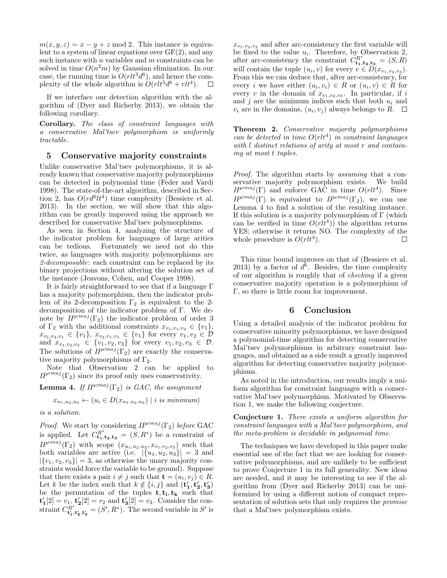$m(x, y, z) = x - y + z \mod 2$ . This instance is equivalent to a system of linear equations over  $GF(2)$ , and any such instance with  $n$  variables and  $m$  constraints can be solved in time  $O(n^2m)$  by Gaussian elimination. In our case, the running time is  $O(rlt^3d^6)$ , and hence the complexity of the whole algorithm is  $O(rlt^3d^6 + rlt^4)$ .  $\Box$ 

If we interface our detection algorithm with the algorithm of (Dyer and Richerby 2013), we obtain the following corollary.

Corollary. The class of constraint languages with a conservative Mal'tsev polymorphism is uniformly tractable.

## 5 Conservative majority constraints

Unlike conservative Mal'tsev polymorphisms, it is already known that conservative majority polymorphisms can be detected in polynomial time (Feder and Vardi 1998). The state-of-the-art algorithm, described in Section 2, has  $O(r d^6 l t^4)$  time complexity (Bessiere et al. 2013). In the section, we will show that this algorithm can be greatly improved using the approach we described for conservative Mal'tsev polymorphisms.

As seen in Section 4, analyzing the structure of the indicator problem for languages of large arities can be tedious. Fortunately we need not do this twice, as languages with majority polymorphisms are 2-decomposable: each constraint can be replaced by its binary projections without altering the solution set of the instance (Jeavons, Cohen, and Cooper 1998).

It is fairly straightforward to see that if a language Γ has a majority polymorphism, then the indicator problem of its 2-decomposition  $\Gamma_2$  is equivalent to the 2decomposition of the indicator problem of Γ. We denote by  $IP^{cmaj}(\Gamma_2)$  the indicator problem of order 3 of  $\Gamma_2$  with the additional constraints  $x_{v_1,v_1,v_2} \in \{v_1\},\$  $x_{v_1,v_2,v_1} \in \{v_1\},\ x_{v_2,v_1,v_1} \in \{v_1\}$  for every  $v_1,v_2 \in \mathcal{D}$ and  $x_{v_1,v_2,v_3} \in \{v_1,v_2,v_3\}$  for every  $v_1,v_2,v_3 \in \mathcal{D}$ . The solutions of  $IP^{cmaj}(\Gamma_2)$  are exactly the conservative majority polymorphisms of  $\Gamma_2$ .

Note that Observation 2 can be applied to  $IP^{cmaj}(\Gamma_2)$  since its proof only uses conservativity.

**Lemma 4.** If  $IP^{cmaj}(\Gamma_2)$  is GAC, the assignment

$$
x_{u_1, u_2, u_3} \leftarrow (u_i \in D(x_{u_1, u_2, u_3}) \mid i \text{ is minimum})
$$

is a solution.

*Proof.* We start by considering  $IP^{cmaj}(\Gamma_2)$  before GAC is applied. Let  $C_{\mathbf{t}_1,\mathbf{t}_2,\mathbf{t}_3}^{R^*} = (S, R^*)$  be a constraint of  $IP^{cmaj}(\Gamma_2)$  with scope  $(x_{u_1,u_2,u_3},x_{v_1,v_2,v_3})$  such that both variables are active (i.e.  $|\{u_1, u_2, u_3\}| = 3$  and  $|\{v_1, v_2, v_3\}| = 3$ , as otherwise the unary majority constraints would force the variable to be ground). Suppose that there exists a pair  $i \neq j$  such that  $\mathbf{t} = (u_i, v_j) \in R$ . Let k be the index such that  $k \notin \{i, j\}$  and  $(\mathbf{t}'_1, \mathbf{t}'_2, \mathbf{t}'_3)$ be the permutation of the tuples  $\mathbf{t}, \mathbf{t_i}, \mathbf{t_k}$  such that  $\mathbf{t}'_1[2] = \bar{v}_1, \, \mathbf{t}'_2[2] = v_2 \text{ and } \mathbf{t}'_3[2] = v_3. \text{ Consider the con-}$ straint  $C_{\mathbf{t}'}^{R^*}$  $t_1^{R^*}$ , $t_2^{\prime}, t_3^{\prime} = (S', R^*)$ . The second variable in  $S'$  is

 $x_{v_1,v_2,v_3}$  and after arc-consistency the first variable will be fixed to the value  $u_i$ . Therefore, by Observation 2, after arc-consistency the constraint  $\tilde{C}_{\mathbf{t}_1,\mathbf{t}_2,\mathbf{t}_3}^{R^*} = (S,R)$ will contain the tuple  $(u_i, v)$  for every  $v \in D(x_{v_1, v_2, v_3})$ . From this we can deduce that, after arc-consistency, for every *i* we have either  $(u_i, v_i) \in R$  or  $(u_i, v) \in R$  for every v in the domain of  $x_{v_1,v_2,v_3}$ . In particular, if i and j are the minimum indices such that both  $u_i$  and  $v_i$  are in the domains,  $(u_i, v_j)$  always belongs to R.

Theorem 2. Conservative majority polymorphisms can be detected in time  $O(rlt^4)$  in constraint languages with l distinct relations of arity at most r and containing at most t tuples.

Proof. The algorithm starts by assuming that a conservative majority polymorphism exists. We build  $IP^{cmaj}(\Gamma)$  and enforce GAC in time  $O(rlt^4)$ . Since  $IP^{cmaj}(\Gamma)$  is equivalent to  $IP^{cmaj}(\Gamma_2)$ , we can use Lemma 4 to find a solution of the resulting instance. If this solution is a majority polymorphism of  $\Gamma$  (which can be verified in time  $O(rlt^4)$  the algorithm returns YES; otherwise it returns NO. The complexity of the whole procedure is  $O(rlt^4)$ . П

This time bound improves on that of (Bessiere et al. 2013) by a factor of  $d^6$ . Besides, the time complexity of our algorithm is roughly that of checking if a given conservative majority operation is a polymorphism of Γ, so there is little room for improvement.

## 6 Conclusion

Using a detailed analysis of the indicator problem for conservative minority polymorphisms, we have designed a polynomial-time algorithm for detecting conservative Mal'tsev polymorphisms in arbitrary constraint languages, and obtained as a side result a greatly improved algorithm for detecting conservative majority polymorphisms.

As noted in the introduction, our results imply a uniform algorithm for constraint languages with a conservative Mal'tsev polymorphism. Motivated by Observation 1, we make the following conjecture.

Conjecture 1. There exists a uniform algorithm for constraint languages with a Mal'tsev polymorphism, and the meta-problem is decidable in polynomial time.

The techniques we have developed in this paper make essential use of the fact that we are looking for conservative polymorphisms, and are unlikely to be sufficient to prove Conjecture 1 in its full generality. New ideas are needed, and it may be interesting to see if the algorithm from (Dyer and Richerby 2013) can be uniformized by using a different notion of compact representation of solution sets that only requires the promise that a Mal'tsev polymorphism exists.